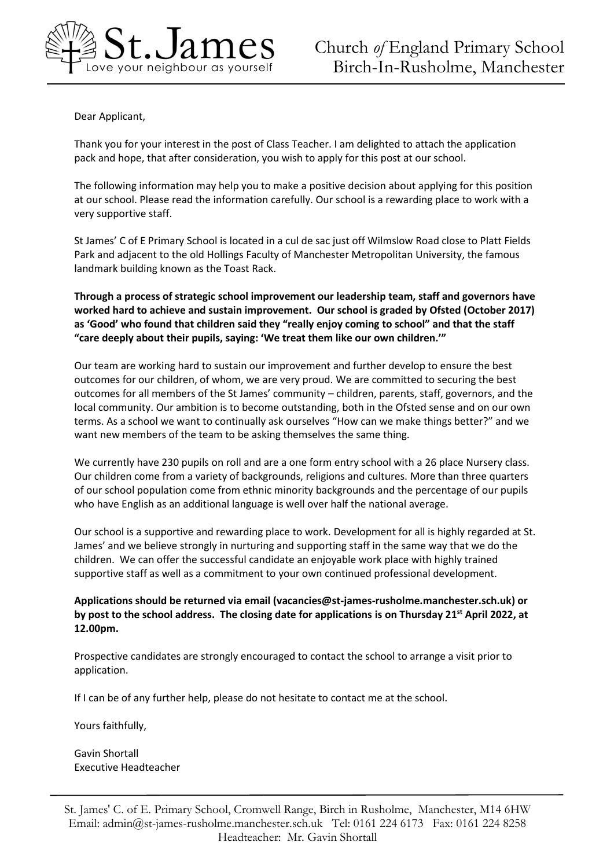

Dear Applicant,

Thank you for your interest in the post of Class Teacher. I am delighted to attach the application pack and hope, that after consideration, you wish to apply for this post at our school.

The following information may help you to make a positive decision about applying for this position at our school. Please read the information carefully. Our school is a rewarding place to work with a very supportive staff.

St James' C of E Primary School is located in a cul de sac just off Wilmslow Road close to Platt Fields Park and adjacent to the old Hollings Faculty of Manchester Metropolitan University, the famous landmark building known as the Toast Rack.

**Through a process of strategic school improvement our leadership team, staff and governors have worked hard to achieve and sustain improvement. Our school is graded by Ofsted (October 2017) as 'Good' who found that children said they "really enjoy coming to school" and that the staff "care deeply about their pupils, saying: 'We treat them like our own children.'"**

Our team are working hard to sustain our improvement and further develop to ensure the best outcomes for our children, of whom, we are very proud. We are committed to securing the best outcomes for all members of the St James' community – children, parents, staff, governors, and the local community. Our ambition is to become outstanding, both in the Ofsted sense and on our own terms. As a school we want to continually ask ourselves "How can we make things better?" and we want new members of the team to be asking themselves the same thing.

We currently have 230 pupils on roll and are a one form entry school with a 26 place Nursery class. Our children come from a variety of backgrounds, religions and cultures. More than three quarters of our school population come from ethnic minority backgrounds and the percentage of our pupils who have English as an additional language is well over half the national average.

Our school is a supportive and rewarding place to work. Development for all is highly regarded at St. James' and we believe strongly in nurturing and supporting staff in the same way that we do the children. We can offer the successful candidate an enjoyable work place with highly trained supportive staff as well as a commitment to your own continued professional development.

## **Applications should be returned via email (vacancies@st-james-rusholme.manchester.sch.uk) or by post to the school address. The closing date for applications is on Thursday 21 st April 2022, at 12.00pm.**

Prospective candidates are strongly encouraged to contact the school to arrange a visit prior to application.

If I can be of any further help, please do not hesitate to contact me at the school.

Yours faithfully,

Gavin Shortall Executive Headteacher

St. James' C. of E. Primary School, Cromwell Range, Birch in Rusholme, Manchester, M14 6HW Email: admin@st-james-rusholme.manchester.sch.uk Tel: 0161 224 6173 Fax: 0161 224 8258 Headteacher: Mr. Gavin Shortall